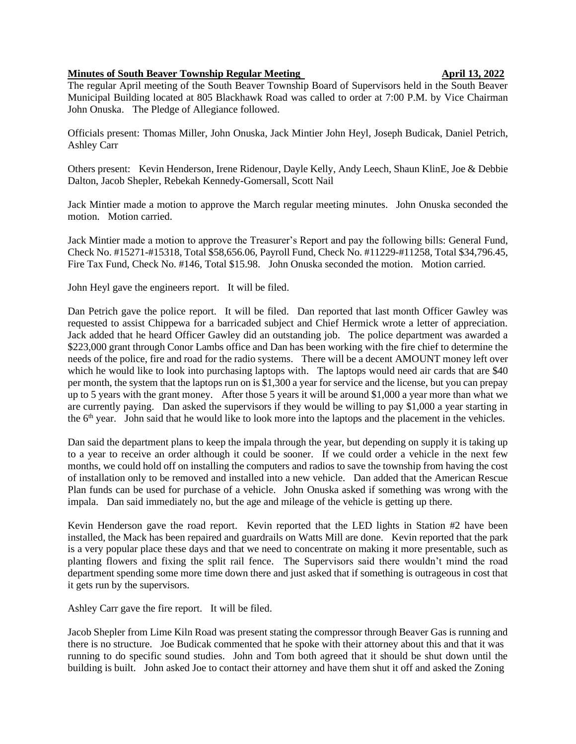## **Minutes of South Beaver Township Regular Meeting and April 13, 2022**

The regular April meeting of the South Beaver Township Board of Supervisors held in the South Beaver Municipal Building located at 805 Blackhawk Road was called to order at 7:00 P.M. by Vice Chairman John Onuska. The Pledge of Allegiance followed.

Officials present: Thomas Miller, John Onuska, Jack Mintier John Heyl, Joseph Budicak, Daniel Petrich, Ashley Carr

Others present: Kevin Henderson, Irene Ridenour, Dayle Kelly, Andy Leech, Shaun KlinE, Joe & Debbie Dalton, Jacob Shepler, Rebekah Kennedy-Gomersall, Scott Nail

Jack Mintier made a motion to approve the March regular meeting minutes. John Onuska seconded the motion. Motion carried.

Jack Mintier made a motion to approve the Treasurer's Report and pay the following bills: General Fund, Check No. #15271-#15318, Total \$58,656.06, Payroll Fund, Check No. #11229-#11258, Total \$34,796.45, Fire Tax Fund, Check No. #146, Total \$15.98. John Onuska seconded the motion. Motion carried.

John Heyl gave the engineers report. It will be filed.

Dan Petrich gave the police report. It will be filed. Dan reported that last month Officer Gawley was requested to assist Chippewa for a barricaded subject and Chief Hermick wrote a letter of appreciation. Jack added that he heard Officer Gawley did an outstanding job. The police department was awarded a \$223,000 grant through Conor Lambs office and Dan has been working with the fire chief to determine the needs of the police, fire and road for the radio systems. There will be a decent AMOUNT money left over which he would like to look into purchasing laptops with. The laptops would need air cards that are \$40 per month, the system that the laptops run on is \$1,300 a year for service and the license, but you can prepay up to 5 years with the grant money. After those 5 years it will be around \$1,000 a year more than what we are currently paying. Dan asked the supervisors if they would be willing to pay \$1,000 a year starting in the 6<sup>th</sup> year. John said that he would like to look more into the laptops and the placement in the vehicles.

Dan said the department plans to keep the impala through the year, but depending on supply it is taking up to a year to receive an order although it could be sooner. If we could order a vehicle in the next few months, we could hold off on installing the computers and radios to save the township from having the cost of installation only to be removed and installed into a new vehicle. Dan added that the American Rescue Plan funds can be used for purchase of a vehicle. John Onuska asked if something was wrong with the impala. Dan said immediately no, but the age and mileage of the vehicle is getting up there.

Kevin Henderson gave the road report. Kevin reported that the LED lights in Station #2 have been installed, the Mack has been repaired and guardrails on Watts Mill are done. Kevin reported that the park is a very popular place these days and that we need to concentrate on making it more presentable, such as planting flowers and fixing the split rail fence. The Supervisors said there wouldn't mind the road department spending some more time down there and just asked that if something is outrageous in cost that it gets run by the supervisors.

Ashley Carr gave the fire report. It will be filed.

Jacob Shepler from Lime Kiln Road was present stating the compressor through Beaver Gas is running and there is no structure. Joe Budicak commented that he spoke with their attorney about this and that it was running to do specific sound studies. John and Tom both agreed that it should be shut down until the building is built. John asked Joe to contact their attorney and have them shut it off and asked the Zoning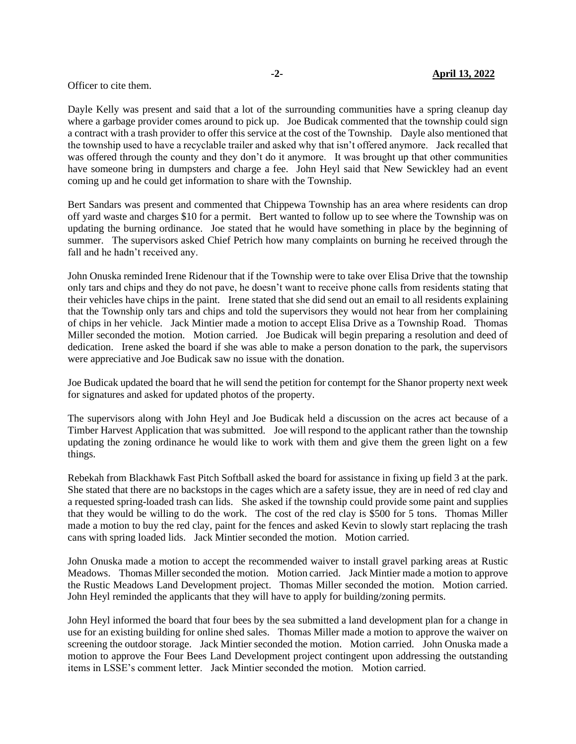## Officer to cite them.

Dayle Kelly was present and said that a lot of the surrounding communities have a spring cleanup day where a garbage provider comes around to pick up. Joe Budicak commented that the township could sign a contract with a trash provider to offer this service at the cost of the Township. Dayle also mentioned that the township used to have a recyclable trailer and asked why that isn't offered anymore. Jack recalled that was offered through the county and they don't do it anymore. It was brought up that other communities have someone bring in dumpsters and charge a fee. John Heyl said that New Sewickley had an event coming up and he could get information to share with the Township.

Bert Sandars was present and commented that Chippewa Township has an area where residents can drop off yard waste and charges \$10 for a permit. Bert wanted to follow up to see where the Township was on updating the burning ordinance. Joe stated that he would have something in place by the beginning of summer. The supervisors asked Chief Petrich how many complaints on burning he received through the fall and he hadn't received any.

John Onuska reminded Irene Ridenour that if the Township were to take over Elisa Drive that the township only tars and chips and they do not pave, he doesn't want to receive phone calls from residents stating that their vehicles have chips in the paint. Irene stated that she did send out an email to all residents explaining that the Township only tars and chips and told the supervisors they would not hear from her complaining of chips in her vehicle. Jack Mintier made a motion to accept Elisa Drive as a Township Road. Thomas Miller seconded the motion. Motion carried. Joe Budicak will begin preparing a resolution and deed of dedication. Irene asked the board if she was able to make a person donation to the park, the supervisors were appreciative and Joe Budicak saw no issue with the donation.

Joe Budicak updated the board that he will send the petition for contempt for the Shanor property next week for signatures and asked for updated photos of the property.

The supervisors along with John Heyl and Joe Budicak held a discussion on the acres act because of a Timber Harvest Application that was submitted. Joe will respond to the applicant rather than the township updating the zoning ordinance he would like to work with them and give them the green light on a few things.

Rebekah from Blackhawk Fast Pitch Softball asked the board for assistance in fixing up field 3 at the park. She stated that there are no backstops in the cages which are a safety issue, they are in need of red clay and a requested spring-loaded trash can lids. She asked if the township could provide some paint and supplies that they would be willing to do the work. The cost of the red clay is \$500 for 5 tons. Thomas Miller made a motion to buy the red clay, paint for the fences and asked Kevin to slowly start replacing the trash cans with spring loaded lids. Jack Mintier seconded the motion. Motion carried.

John Onuska made a motion to accept the recommended waiver to install gravel parking areas at Rustic Meadows. Thomas Miller seconded the motion. Motion carried. Jack Mintier made a motion to approve the Rustic Meadows Land Development project. Thomas Miller seconded the motion. Motion carried. John Heyl reminded the applicants that they will have to apply for building/zoning permits.

John Heyl informed the board that four bees by the sea submitted a land development plan for a change in use for an existing building for online shed sales. Thomas Miller made a motion to approve the waiver on screening the outdoor storage. Jack Mintier seconded the motion. Motion carried. John Onuska made a motion to approve the Four Bees Land Development project contingent upon addressing the outstanding items in LSSE's comment letter. Jack Mintier seconded the motion. Motion carried.